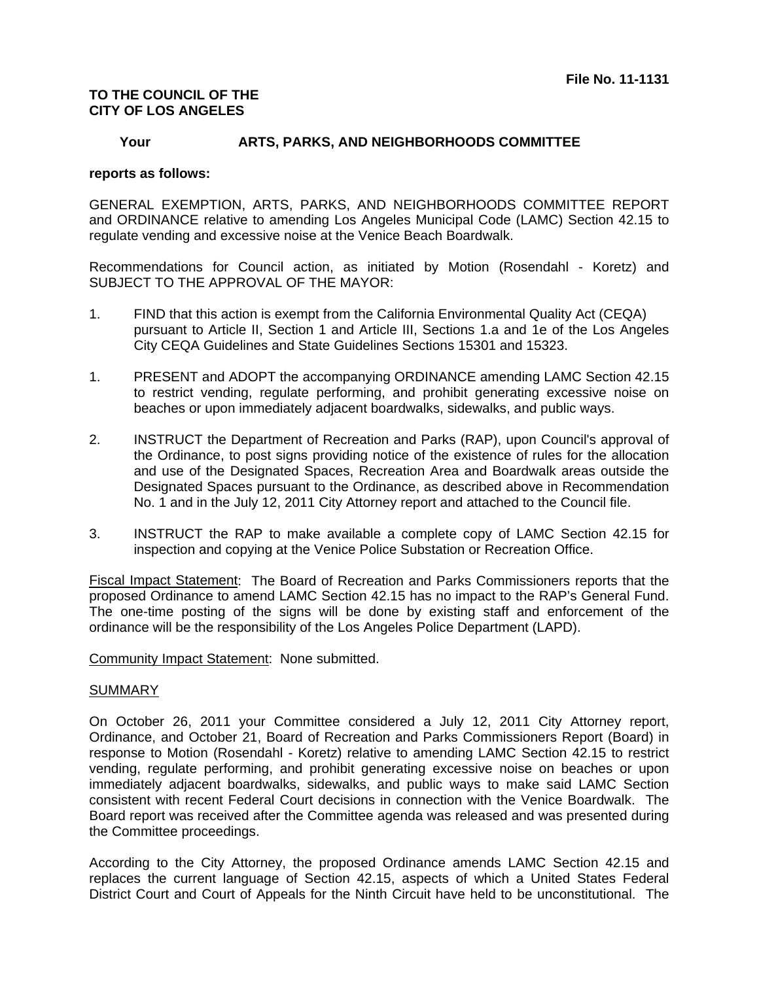## **TO THE COUNCIL OF THE CITY OF LOS ANGELES**

## **Your ARTS, PARKS, AND NEIGHBORHOODS COMMITTEE**

## **reports as follows:**

GENERAL EXEMPTION, ARTS, PARKS, AND NEIGHBORHOODS COMMITTEE REPORT and ORDINANCE relative to amending Los Angeles Municipal Code (LAMC) Section 42.15 to regulate vending and excessive noise at the Venice Beach Boardwalk.

Recommendations for Council action, as initiated by Motion (Rosendahl - Koretz) and SUBJECT TO THE APPROVAL OF THE MAYOR:

- 1. FIND that this action is exempt from the California Environmental Quality Act (CEQA) pursuant to Article II, Section 1 and Article III, Sections 1.a and 1e of the Los Angeles City CEQA Guidelines and State Guidelines Sections 15301 and 15323.
- 1. PRESENT and ADOPT the accompanying ORDINANCE amending LAMC Section 42.15 to restrict vending, regulate performing, and prohibit generating excessive noise on beaches or upon immediately adjacent boardwalks, sidewalks, and public ways.
- 2. INSTRUCT the Department of Recreation and Parks (RAP), upon Council's approval of the Ordinance, to post signs providing notice of the existence of rules for the allocation and use of the Designated Spaces, Recreation Area and Boardwalk areas outside the Designated Spaces pursuant to the Ordinance, as described above in Recommendation No. 1 and in the July 12, 2011 City Attorney report and attached to the Council file.
- 3. INSTRUCT the RAP to make available a complete copy of LAMC Section 42.15 for inspection and copying at the Venice Police Substation or Recreation Office.

Fiscal Impact Statement: The Board of Recreation and Parks Commissioners reports that the proposed Ordinance to amend LAMC Section 42.15 has no impact to the RAP's General Fund. The one-time posting of the signs will be done by existing staff and enforcement of the ordinance will be the responsibility of the Los Angeles Police Department (LAPD).

Community Impact Statement: None submitted.

## SUMMARY

On October 26, 2011 your Committee considered a July 12, 2011 City Attorney report, Ordinance, and October 21, Board of Recreation and Parks Commissioners Report (Board) in response to Motion (Rosendahl - Koretz) relative to amending LAMC Section 42.15 to restrict vending, regulate performing, and prohibit generating excessive noise on beaches or upon immediately adjacent boardwalks, sidewalks, and public ways to make said LAMC Section consistent with recent Federal Court decisions in connection with the Venice Boardwalk. The Board report was received after the Committee agenda was released and was presented during the Committee proceedings.

According to the City Attorney, the proposed Ordinance amends LAMC Section 42.15 and replaces the current language of Section 42.15, aspects of which a United States Federal District Court and Court of Appeals for the Ninth Circuit have held to be unconstitutional. The